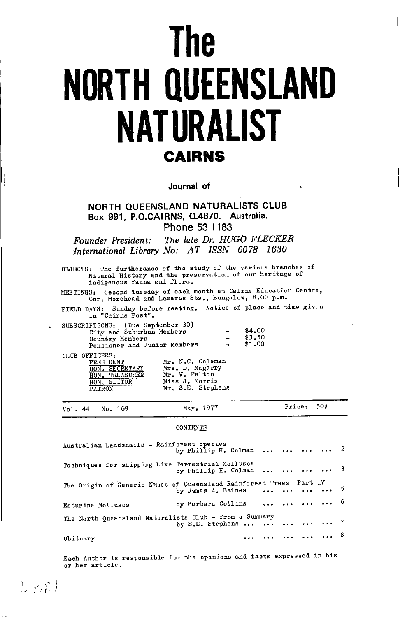# **The NORTH QUEENSLAND NATURALIST CAIRNS**

Journal of

NORTH QUEENSLAND NATURALISTS CLUB Box 991, P.O.CAIRNS, Q.4870. Australia. Phone 53 1183

The late Dr. HUGO FLECKER Founder President: International Library No: AT ISSN 0078 1630

OBJECTS: The furtherance of the study of the various branches of Natural History and the preservation of our heritage of indigenous fauna and flora.

MEETINGS: Second Tuesday of each month at Cairns Education Centre,<br>Cnr. Morehead and Lazarus Sts., Bungalow, 8.00 p.m.

FIELD DAYS: Sunday before meeting. Notice of place and time given<br>in "Cairns Post".

| SUBSCRIPTIONS: (Due September 30) |                          |        |
|-----------------------------------|--------------------------|--------|
| City and Suburban Members         |                          | \$4.00 |
| Country Members                   | $\overline{\phantom{0}}$ | \$3.50 |
| Pensioner and Junior Members      | $\rightarrow$            | \$1,00 |
| CLUB OFFICERS:                    |                          |        |

| <b>PRESIDENT</b> | Mr. N.C. Coleman  |
|------------------|-------------------|
| HON. SECRETARY   | Mrs. D. Magarry   |
| HON. TREASURER   | Mr. W. Felton     |
| HON. EDITOR      | Miss J. Morris    |
| <b>PATRON</b>    | Mr. S.E. Stephens |

 $DESL$ 

| Vol. 44 No. 169 | May, 1977 | Price: $50¢$ |
|-----------------|-----------|--------------|
|                 |           |              |

#### CONTENTS

| Australian Landsnails - Rainforest Species                         | by Phillip H. Colman     2 |  |            |  |
|--------------------------------------------------------------------|----------------------------|--|------------|--|
| Techniques for shipping Live Terrestrial Molluscs                  | by Phillip H. Colman     3 |  |            |  |
| The Origin of Generic Names of Queensland Rainforest Trees Part IV | by James A. Baines     5   |  |            |  |
| Esturine Molluscs                                                  | by Barbara Collins     6   |  |            |  |
| The North Queensland Naturalists Club - from a Summary             | by S.E. Stephens $7$       |  |            |  |
| Obituary                                                           |                            |  | $\ldots$ 8 |  |

Each Author is responsible for the opinions and facts expressed in his or her article.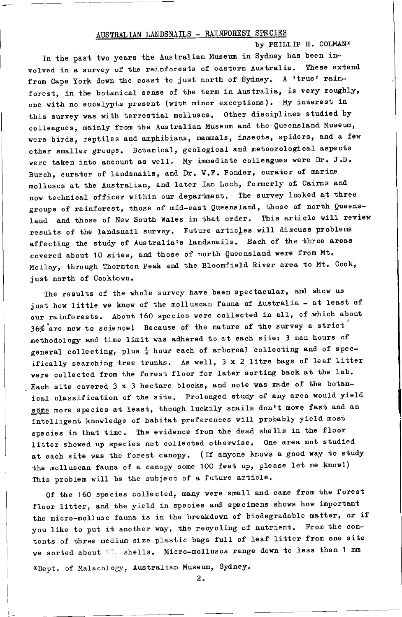# AUSTRALIAN LANDSNAILS - RAINFOREST SPECIES

by PHILLIP H. COLMAN\* In the past two years the Australian Museum in Sydney has been involved in a survey of the rainforests of eastern Australia. These extend from Cape York down the coast to just north of Sydney. A 'true' rainforest, in the botanical sense of the term in Australia, is very roughly, one with no eucalypts present (with minor exceptions). My interest in this survey was with terrestial molluscs. Other disciplines studied by colleagues, mainly from the Australian Museum and the Queensland Museum, were birds, reptiles and amphibians, mammals, insects, spiders, and a few other smaller groups. Botanical, geological and meteorological aspects were taken into account as well. My immediate colleagues were Dr. J.B. Burch, curator of landsnails, and Dr. W.F. Ponder, curator of marine molluscs at the Australian, and later Ian Loch, formerly of Cairns and now technical officer within our department. The survey looked at three groups of rainforest, those of mid-east Queensland, those of north Queensland and those of New South Wales in that order. This article will review results of the landsnail survey. Future articles will discuss problems affecting the study of Australia's landsnails. Each of the three areas covered about 10 sites, and those of north Queensland were from Mt. Molloy, through Thornton Peak and the Bloomfield River area to Mt. Cook, just north of Cooktown.

The results of the whole survey have been spectacular, and show us just how little we know of the molluscan fauna of Australia - at least of our rainforests. About 160 species were collected in all, of which about 36% are new to science! Because of the nature of the survey a strict methodology and time limit was adhered to at each site: 3 man hours of general collecting, plus  $\frac{1}{4}$  hour each of arboreal collecting and of specifically searching tree trunks. As well, 3 x 2 litre bags of leaf litter were collected from the forest floor for later sorting back at the lab. Each site covered 3 x 3 hectare blocks, and note was made of the botanical classification of the site. Prolonged study of any area would yield some more species at least, though luckily snails don't move fast and an intelligent knowledge of habitat preferences will probably yield most species in that time. The evidence from the dead shells in the floor litter showed up species not collected otherwise. One area not studied at each site was the forest canopy. (If anyone knows a good way to study the molluscan fauna of a canopy some 100 feet up, please let me know!) This problem will be the subject of a future article.

Of the 160 species collected, many were small and came from the forest floor litter, and the yield in species and specimens shows how important the micro-mollusc fauna is in the breakdown of biodegradable matter, or if you like to put it another way, the recycling of nutrient. From the contents of three medium size plastic bags full of leaf litter from one site we sorted about 57 shells. Micro-molluscs range down to less than 1 mm

\*Dept. of Malacology, Australian Museum, Sydney.

 $\overline{2}$ .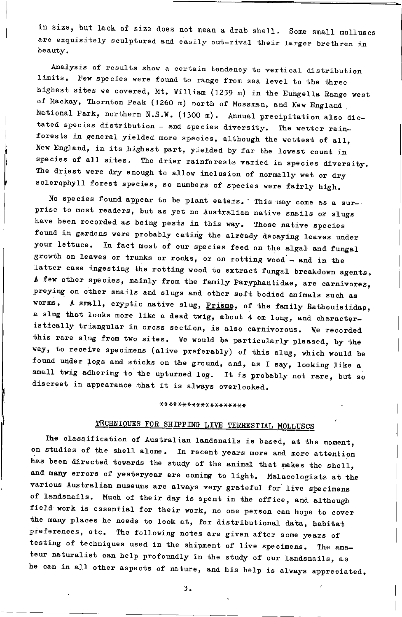in size, but lack of size does not mean a drab shell. Some small molluscs are exquisitely sculptured and easily out-rival their larger brethren in beauty.

Analysis of results show a certain tendency to vertical distribution limits. Few species were found to range from sea level to the three highest sites we covered, Mt. William (1259 m) in the Eungella Range west of Mackay, Thornton Peak (1260 m) north of Mossman, and New England National Park, northern N.S.W. (1300 m). Annual precipitation also dictated species distribution - and species diversity. The wetter rainforests in general yielded more species, although the wettest of all, New England, in its highest part, yielded by far the lowest count in species of all sites. The drier rainforests varied in species diversity. The driest were dry enough to allow inclusion of normally wet or dry sclerophyll forest species, so numbers of species were fairly high.

No species found appear to be plant eaters. This may come as a surprise to most readers, but as yet no Australian native snails or slugs have been recorded as being pests in this way. Those native species found in gardens were probably eating the already decaying leaves under your lettuce. In fact most of our species feed on the algal and fungal growth on leaves or trunks or rocks, or on rotting wood - and in the latter case ingesting the rotting wood to extract fungal breakdown agents. A few other species, mainly from the family Paryphantidae, are carnivores, preying on other snails and slugs and other soft bodied animals such as worms. A small, cryptic native slug, Prisma, of the family Rathouisiidae, a slug that looks more like a dead twig, about 4 cm long, and characteristically triangular in cross section, is also carnivorous. We recorded this rare slug from two sites. We would be particularly pleased, by the way, to receive specimens (alive preferably) of this slug, which would be found under logs and sticks on the ground, and, as I say, looking like a small twig adhering to the upturned log. It is probably not rare, but so discreet in appearance that it is always overlooked.

# \*\*\*\*\*\*\*\*\*\*\*\*\*\*\*\*\*\*\*

# TECHNIQUES FOR SHIPPING LIVE TERRESTIAL MOLLUSCS

The classification of Australian landsnails is based, at the moment, on studies of the shell alone. In recent years more and more attention has been directed towards the study of the animal that makes the shell, and many errors of yesteryear are coming to light. Malacologists at the various Australian museums are always very grateful for live specimens of landsnails. Much of their day is spent in the office, and although field work is essential for their work, no one person can hope to cover the many places he needs to look at, for distributional data, habitat preferences, etc. The following notes are given after some years of testing of techniques used in the shipment of live specimens. The amateur naturalist can help profoundly in the study of our landsnails, as he can in all other aspects of nature, and his help is always appreciated.

 $3.$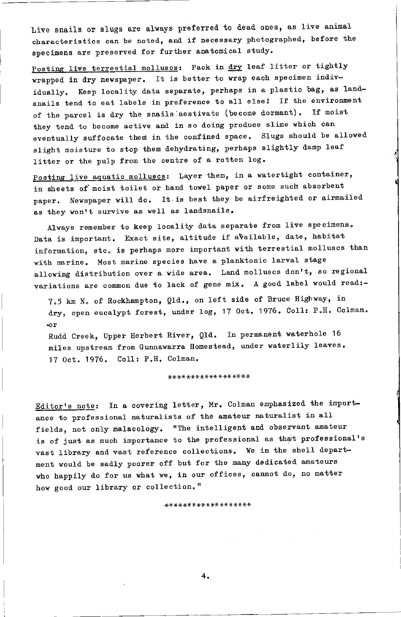Live snails or slugs are always preferred to dead ones, as live animal characteristics can be noted, and if necessary photographed, before the specimens are preserved for further anatomical study.

Posting live terrestial molluscs: Pack in dry leaf litter or tightly wrapped in dry newspaper. It is better to wrap each specimen individually. Keep locality data separate, perhaps in a plastic bag, as landsnails tend to eat labels in preference to all else! If the environment of the parcel is dry the snails aestivate (become dormant). If moist they tend to become active and in so doing produce slime which can eventually suffocate them in the confined space. Slugs should be allowed slight moisture to stop them dehydrating, perhaps slightly damp leaf litter or the pulp from the centre of a rotten log.

Posting live aquatic molluscs: Layer them, in a watertight container, in sheets of moist toilet or hand towel paper or some such absorbent paper. Newspaper will do. It is best they be airfreighted or airmailed as they won't survive as well as landsnails.

Always remember to keep locality data separate from live specimens. Data is important. Exact site, altitude if available, date, habitat information, etc. is perhaps more important with terrestial molluscs than with marine. Most marine species have a planktonic larval stage allowing distribution over a wide area. Land molluscs don't, so regional variations are common due to lack of gene mix. A good label would read:-

7.5 km N. of Rockhampton, Qld., on left side of Bruce Highway, in dry, open eucalypt forest, under log, 17 Oct. 1976. Coll: P.H. Colman.  $\sim r$ 

Rudd Creek, Upper Herbert River, Q1d. In permanent waterhole 16 miles upstream from Gunnawarra Homestead, under waterlily leaves. 17 Oct. 1976. Coll: P.H. Colman.

\*\*\*\*\*\*\*\*\*\*\*\*\*\*\*\*\*

Editor's note: In a covering letter, Mr. Colman emphasized the importance to professional naturalists of the amateur naturalist in all fields, not only malacology. "The intelligent and observant amateur is of just as much importance to the professional as that professional's vast library and vast reference collections. We in the shell department would be sadly poorer off but for the many dedicated amateurs who happily do for us what we, in our offices, cannot do, no matter how good our library or collection."

\*\*\*\*\*\*\*\*\*\*\*\*\*\*\*\*\*\*\*

4.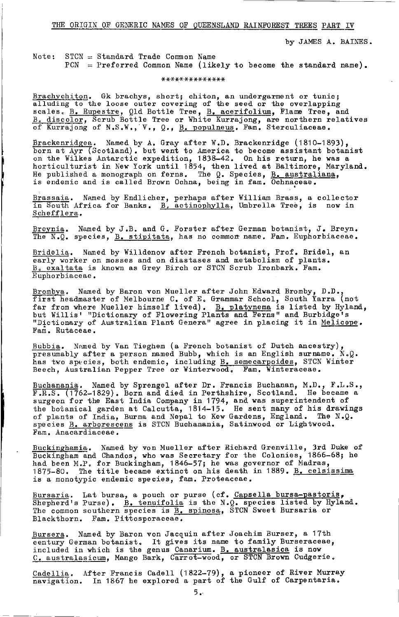THE ORIGIN OF GENERIC NAMES OF OUEENSLAND RAINFOREST TREES PART IV

by JAMES A. BAINES.

Note:  $STCN = Standard Trade Common Name$  $PCN = Preferred$  Common Name (likely to become the standard name).

\*\*\*\*\*\*\*\*\*\*\*\*\*\*

Brachychiton. Gk brachys, short; chiton, an undergarment or tunic;<br>alluding to the loose outer covering of the seed or the overlapping scales. B. Rupestre, Q1d Bottle Tree, B. acerifolium, Flame Tree, and<br>B. discolor, Scrub Bottle Tree or White Kurrajong, are northern relatives<br>of Kurrajong of N.S.W., V., Q., B. populneus. Fam. Sterculiaceae.

Brackenridgea. Named by A. Gray after W.D. Brackenridge (1810-1893), born at Ayr (Scotland). but went to America to become assistant botanist on the Wilkes Antarctic expedition, 1838-42. On his return, he was a horticulturist in New York until 1854, then lived at Baltimore, Maryland. He published a monograph on ferns. The Q. Species, B. australiana, is endemic and is called Brown Ochna, being in fam. Ochnaceae.

Brassaia. Named by Endlicher, perhaps after William Brass, a collector<br>in South Africa for Banks. B. actinophylla, Umbrella Tree, is now in Schefflera.

<u>Breynia</u>. Named by J.B. and G. Forster after German botanist, J. Breyn.<br>The N.Q. species, <u>B. stipitata</u>, has no common name. Fam. Euphorbiaceae.

Bridelia. Named by Willdenow after French botanist, Prof. Bridel, an early worker on mosses and on diastases and metabolism of plants. B. exaltata is known as Grey Birch or STCN Scrub Ironbark. Fam. Euphorbiaceae.

Brombya. Named by Baron von Mueller after John Edward Bromby, D.D., first headmaster of Melbourne C. of E. Grammar School, South Yarra (not far from where Mueller himself lived). B. platynema is listed by Hyland,<br>but Willis' "Dictionary of Flowering Plants and Ferns" and Burbidge's "Dictionary of Australian Plant Genera" agree in placing it in Melicope. Fam. Rutaceae.

Bubbia. Named by Van Tieghem (a French botanist of Dutch ancestry), presumably after a person named Bubb, which is an English surname. N.Q.<br>has two species, both endemic, including B. semecarpoides, STCN Winter<br>Beech, Australian Pepper Tree or Winterwood. Fam. Winteraceae.

Buchanania. Named by Sprengel after Dr. Francis Buchanan, M.D., F.L.S., F.R.S. (1762-1829). Born and died in Perthshire, Scotland. He became a surgeon for the East India Company in 1794, and was superintendent of the botanical garden at Calcutta, 1814-15. He sent many of his drawings<br>of plants of India, Burma and Nepal to Kew Gardens, England. The N.Q. species B. arborescens is STCN Buchanania, Satinwood or Lightwood. Fam. Anacardiaceae.

Buckinghamia. Named by von Mueller after Richard Grenville, 3rd Duke of Buckingham and Chandos, who was Secretary for the Colonies, 1866-68; he had been M.P. for Buckingham, 1846-57; he was governor of Madras, 1875-80. The title became extinct on his death in 1889. B. celsissima is a monotypic endemic species, fam. Proteaceae.

Bursaria. Lat bursa, a pouch or purse (cf. Capsella bursa-pastoris, Shepherd's Purse). B. tenuifolia is the N.O. species listed by Hyland. The common southern species is <u>B. spinosa</u>, STCN Sweet Bursaria or Blackthorn. Fam. Pittosporaceae.

Bursera. Named by Baron von Jacquin after Joachim Burser, a 17th century German botanist. It gives its name to family Burseraceae, included in which is the genus Canarium. B. australasica is now C. australasicum, Mango Bark, Carrot-wood, or STCN Brown Cudgerie.

Cadellia. After Francis Cadell (1822-79), a pioneer of River Murray navigation. In 1867 he explored a part of the Gulf of Carpentaria.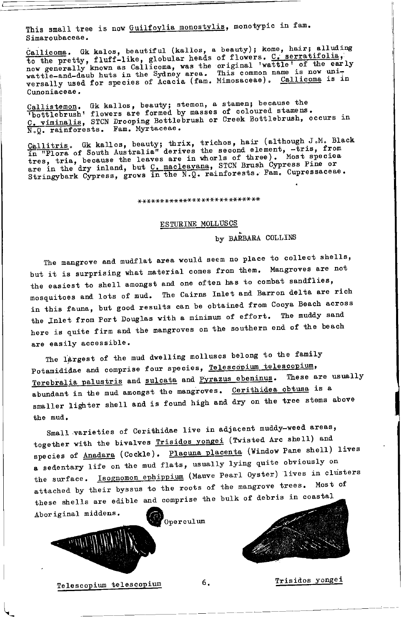This small tree is now Guilfoylia monostylis, monotypic in fam. Simaroubaceae.

Callicoma. Gk kalos, beautiful (kallos, a beauty); kome, hair; alluding <u>valicom</u> . When the pretty, fluff-like, globular heads of flowers. C. serratifolia, now generally known as Callicoma, was the original 'wattle' of the early wattle-and-daub huts in the Sydney area. This common name is now Cunoniaceae.

Callistemon. Gk kallos, beauty; stemon, a stamen; because the bottlebrush' flowers are formed by masses of coloured stamens. C. viminalis, STCN Drooping Bottlebrush or Creek Bottlebrush, occurs in N.Q. rainforests. Fam. Myrtaceae.

Callitris. Gk kallos, beauty; thrix, trichos, hair (although J.M. Black<br>in "Flora of South Australia" derives the second element, -tris, from tres, tria, because the leaves are in whorls of three). Most species<br>are in the dry inland, but C. macleayana, STCN Brush Cypress Pine or<br>Stringybark Cypress, grows in the N.Q. rainforests. Fam. Cupressaceae.

## \*\*\*\*\*\*\*\*\*\*\*\*\*\*\*\*\*\*\*\*\*\*\*\*\*\*\*

#### ESTURINE MOLLUSCS

by BARBARA COLLINS

The mangrove and mudflat area would seem no place to collect shells, but it is surprising what material comes from them. Mangroves are not the easiest to shell amongst and one often has to combat sandflies, mosquitoes and lots of mud. The Cairns Inlet and Barron delta are rich in this fauna, but good results can be obtained from Cooya Beach across the Inlet from Port Douglas with a minimum of effort. The muddy sand here is quite firm and the mangroves on the southern end of the beach are easily accessible.

The largest of the mud dwelling molluscs belong to the family Potamididae and comprise four species, Telescopium telescopium, Terebralia palustris and sulcata and Pyrazus ebeninus. These are usually abundant in the mud amongst the mangroves. Cerithidea obtusa is a smaller lighter shell and is found high and dry on the tree stems above the mud.

Small varieties of Cerithidae live in adjacent muddy-weed areas, together with the bivalves Trisidos yongei (Twisted Arc shell) and species of Anadara (Cockle). Placuna placenta (Window Pane shell) lives a sedentary life on the mud flats, usually lying quite obviously on the surface. Isognomon ephippium (Mauve Pearl Oyster) lives in clusters attached by their byssus to the roots of the mangrove trees. Most of these shells are edible and comprise the bulk of debris in coastal Aboriginal middens.





Telescopium telescopium

Trisidos yongei

6.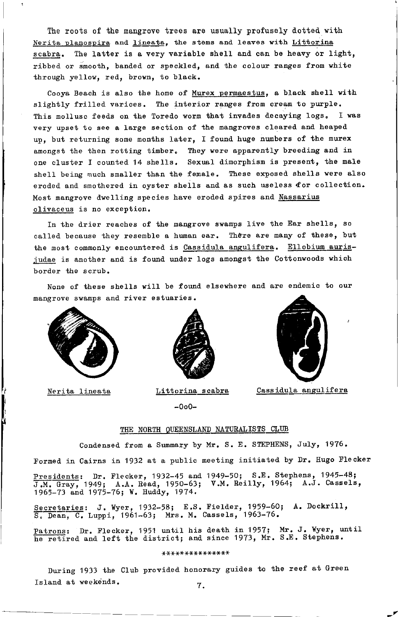The roots of the mangrove trees are usually profusely dotted with Nerita planospira and lineata, the stems and leaves with Littorina scabra. The latter is a very variable shell and can be heavy or light. ribbed or smooth, banded or speckled, and the colour ranges from white through yellow, red, brown, to black.

Coova Beach is also the home of Murex permaestus, a black shell with slightly frilled varices. The interior ranges from cream to purple. This mollusc feeds on the Toredo worm that invades decaying logs. I was very upset to see a large section of the mangroves cleared and heaped up, but returning some months later. I found huge numbers of the murex amongst the then rotting timber. They were apparently breeding and in one cluster I counted 14 shells. Sexual dimorphism is present, the male shell being much smaller than the female. These exposed shells were also eroded and smothered in oyster shells and as such useless for collection. Most mangrove dwelling species have eroded spires and Nassarius olivaceus is no exception.

In the drier reaches of the mangrove swamps live the Ear shells, so called because they resemble a human ear. There are many of these, but the most commonly encountered is Cassidula angulifera. Ellobium aurisjudae is another and is found under logs amongst the Cottonwoods which border the scrub.

None of these shells will be found elsewhere and are endemic to our mangrove swamps and river estuaries.



Nerita lineata



Littorina scabra

 $-000-$ 



Cassidula angulifera

### THE NORTH OUEENSLAND NATURALISTS CLUB

Condensed from a Summary by Mr. S. E. STEPHENS, July, 1976.

Formed in Cairns in 1932 at a public meeting initiated by Dr. Hugo Flecker

Presidents: Dr. Flecker, 1932-45 and 1949-50; S.E. Stephens, 1945-48; J.M. Gray, 1949; A.A. Read, 1950-63; V.M. Reilly, 1964; A.J. Cassels, 1965-73 and 1975-76; W. Huddy, 1974.

Secretaries: J. Wyer, 1932-58; E.S. Fielder, 1959-60; A. Dockrill, S. Dean, C. Luppi, 1961-63; Mrs. M. Cassels, 1963-76.

Patrons: Dr. Flecker, 1951 until his death in 1957; Mr. J. Wyer, until he retired and left the district; and since 1973, Mr. S.E. Stephens.

#### \*\*\*\*\*\*\*\*\*\*\*\*\*\*\*

During 1933 the Club provided honorary guides to the reef at Green Island at weekends.